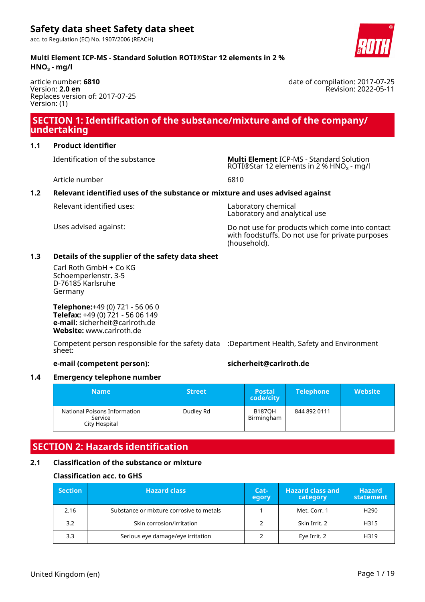acc. to Regulation (EC) No. 1907/2006 (REACH)



article number: **6810** Version: **2.0 en** Replaces version of: 2017-07-25 Version: (1)

# **SECTION 1: Identification of the substance/mixture and of the company/ undertaking**

#### **1.1 Product identifier**

Identification of the substance **Multi Element** ICP-MS - Standard Solution ROTI®Star 12 elements in 2 % HNO<sub>3</sub> - mg/l

Article number 6810

### **1.2 Relevant identified uses of the substance or mixture and uses advised against**

Relevant identified uses: Laboratory chemical

Laboratory and analytical use

Uses advised against: Do not use for products which come into contact with foodstuffs. Do not use for private purposes (household).

#### **1.3 Details of the supplier of the safety data sheet**

Carl Roth GmbH + Co KG Schoemperlenstr. 3-5 D-76185 Karlsruhe Germany

**Telephone:**+49 (0) 721 - 56 06 0 **Telefax:** +49 (0) 721 - 56 06 149 **e-mail:** sicherheit@carlroth.de **Website:** www.carlroth.de

Competent person responsible for the safety data :Department Health, Safety and Environment sheet:

### **e-mail (competent person): sicherheit@carlroth.de**

#### **1.4 Emergency telephone number**

| <b>Name</b>                                              | <b>Street</b> | <b>Postal</b><br>code/city  | <b>Telephone</b> | <b>Website</b> |
|----------------------------------------------------------|---------------|-----------------------------|------------------|----------------|
| National Poisons Information<br>Service<br>City Hospital | Dudley Rd     | <b>B187OH</b><br>Birmingham | 844 892 0111     |                |

# **SECTION 2: Hazards identification**

#### **2.1 Classification of the substance or mixture**

#### **Classification acc. to GHS**

| <b>Section</b> | <b>Hazard class</b>                      | Cat-<br>egory | <b>Hazard class and</b><br>category | <b>Hazard</b><br>statement |
|----------------|------------------------------------------|---------------|-------------------------------------|----------------------------|
| 2.16           | Substance or mixture corrosive to metals |               | Met. Corr. 1                        | H <sub>290</sub>           |
| 3.2            | Skin corrosion/irritation                |               | Skin Irrit. 2                       | H315                       |
| 3.3            | Serious eye damage/eye irritation        |               | Eye Irrit. 2                        | H319                       |



date of compilation: 2017-07-25 Revision: 2022-05-11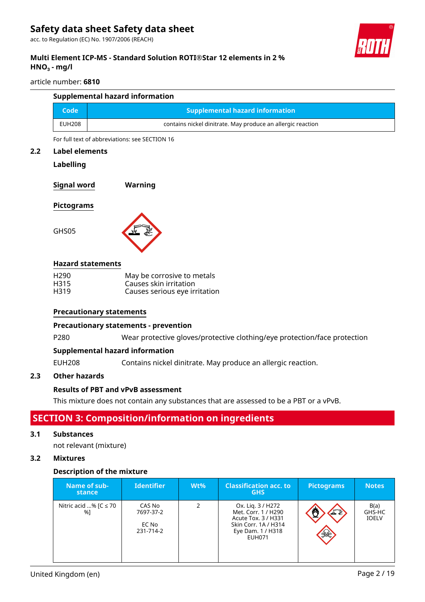acc. to Regulation (EC) No. 1907/2006 (REACH)



### **Multi Element ICP-MS - Standard Solution ROTI®Star 12 elements in 2 % HNO₃ - mg/l**

#### article number: **6810**

| <b>Supplemental hazard information</b> |                                                             |  |  |  |
|----------------------------------------|-------------------------------------------------------------|--|--|--|
| Code                                   | <b>Supplemental hazard information</b>                      |  |  |  |
| <b>EUH208</b>                          | contains nickel dinitrate. May produce an allergic reaction |  |  |  |

For full text of abbreviations: see SECTION 16

#### **2.2 Label elements**

#### **Labelling**

**Signal word Warning**

#### **Pictograms**

GHS05



#### **Hazard statements**

| H <sub>290</sub> | May be corrosive to metals    |
|------------------|-------------------------------|
| H <sub>315</sub> | Causes skin irritation        |
| H319             | Causes serious eye irritation |

#### **Precautionary statements**

#### **Precautionary statements - prevention**

P280 Wear protective gloves/protective clothing/eye protection/face protection

#### **Supplemental hazard information**

EUH208 Contains nickel dinitrate. May produce an allergic reaction.

### **2.3 Other hazards**

#### **Results of PBT and vPvB assessment**

This mixture does not contain any substances that are assessed to be a PBT or a vPvB.

# **SECTION 3: Composition/information on ingredients**

#### **3.1 Substances**

not relevant (mixture)

### **3.2 Mixtures**

#### **Description of the mixture**

| Name of sub-<br>stance           | <b>Identifier</b>                         | $Wt\%$ | <b>Classification acc. to</b><br><b>GHS</b>                                                                                   | <b>Pictograms</b> | <b>Notes</b>                   |
|----------------------------------|-------------------------------------------|--------|-------------------------------------------------------------------------------------------------------------------------------|-------------------|--------------------------------|
| Nitric acid % [ $C \le 70$<br>%1 | CAS No<br>7697-37-2<br>EC No<br>231-714-2 | 2      | Ox. Lig. 3 / H272<br>Met. Corr. 1 / H290<br>Acute Tox. 3 / H331<br>Skin Corr. 1A / H314<br>Eye Dam. 1 / H318<br><b>EUH071</b> | 工业<br>$\gg$       | B(a)<br>GHS-HC<br><b>IOELV</b> |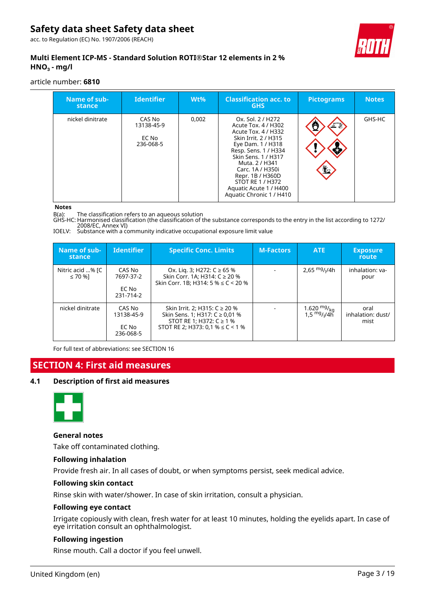acc. to Regulation (EC) No. 1907/2006 (REACH)



### **Multi Element ICP-MS - Standard Solution ROTI®Star 12 elements in 2 % HNO₃ - mg/l**

#### article number: **6810**

| Name of sub-<br>stance | <b>Identifier</b>                          | $Wt\%$ | <b>Classification acc. to</b><br><b>GHS</b>                                                                                                                                                                                                                                                            | <b>Pictograms</b> | <b>Notes</b> |
|------------------------|--------------------------------------------|--------|--------------------------------------------------------------------------------------------------------------------------------------------------------------------------------------------------------------------------------------------------------------------------------------------------------|-------------------|--------------|
| nickel dinitrate       | CAS No<br>13138-45-9<br>EC No<br>236-068-5 | 0,002  | Ox. Sol. 2 / H272<br>Acute Tox. 4 / H302<br>Acute Tox. 4 / H332<br>Skin Irrit, 2 / H315<br>Eye Dam. 1 / H318<br>Resp. Sens. 1 / H334<br>Skin Sens. 1 / H317<br>Muta, 2 / H341<br>Carc. 1A / H350i<br>Repr. 1B / H360D<br><b>STOT RE 1 / H372</b><br>Aquatic Acute 1 / H400<br>Aquatic Chronic 1 / H410 | 工业<br>兰           | GHS-HC       |

#### **Notes**

B(a): The classification refers to an aqueous solution

GHS-HC: Harmonised classification (the classification of the substance corresponds to the entry in the list according to 1272/ 2008/EC, Annex VI)

IOELV: Substance with a community indicative occupational exposure limit value

| Name of sub-<br>stance      | <b>Identifier</b>                          | <b>Specific Conc. Limits</b>                                                                                                             | <b>M-Factors</b> | ATE                                                                         | <b>Exposure</b><br>route          |
|-----------------------------|--------------------------------------------|------------------------------------------------------------------------------------------------------------------------------------------|------------------|-----------------------------------------------------------------------------|-----------------------------------|
| Nitric acid % [C<br>≤ 70 %] | CAS No<br>7697-37-2<br>EC No<br>231-714-2  | Ox. Lig. 3; H272: C ≥ 65 %<br>Skin Corr. 1A; H314: C ≥ 20 %<br>Skin Corr. 1B; H314: 5 % $\leq$ C < 20 %                                  |                  | 2,65 $mg/1/4h$                                                              | inhalation: va-<br>pour           |
| nickel dinitrate            | CAS No<br>13138-45-9<br>EC No<br>236-068-5 | Skin Irrit. 2; H315: C ≥ 20 %<br>Skin Sens. 1; H317: C ≥ 0,01 %<br>STOT RE 1; H372: $C \ge 1$ %<br>STOT RE 2; H373: 0,1 % $\leq$ C < 1 % |                  | 1.620 <sup>mg</sup> / <sub>kg</sub><br>1,5 <sup>mg</sup> / <sub>l</sub> /4h | oral<br>inhalation: dust/<br>mist |

For full text of abbreviations: see SECTION 16

# **SECTION 4: First aid measures**

#### **4.1 Description of first aid measures**



#### **General notes**

Take off contaminated clothing.

#### **Following inhalation**

Provide fresh air. In all cases of doubt, or when symptoms persist, seek medical advice.

#### **Following skin contact**

Rinse skin with water/shower. In case of skin irritation, consult a physician.

#### **Following eye contact**

Irrigate copiously with clean, fresh water for at least 10 minutes, holding the eyelids apart. In case of eye irritation consult an ophthalmologist.

#### **Following ingestion**

Rinse mouth. Call a doctor if you feel unwell.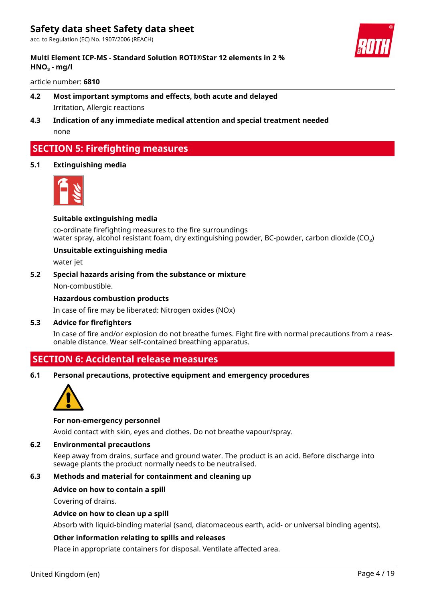acc. to Regulation (EC) No. 1907/2006 (REACH)



#### **Multi Element ICP-MS - Standard Solution ROTI®Star 12 elements in 2 % HNO₃ - mg/l**

#### article number: **6810**

# **4.2 Most important symptoms and effects, both acute and delayed** Irritation, Allergic reactions

**4.3 Indication of any immediate medical attention and special treatment needed** none

# **SECTION 5: Firefighting measures**

#### **5.1 Extinguishing media**



#### **Suitable extinguishing media**

co-ordinate firefighting measures to the fire surroundings water spray, alcohol resistant foam, dry extinguishing powder, BC-powder, carbon dioxide (CO<sub>2</sub>)

#### **Unsuitable extinguishing media**

water jet

#### **5.2 Special hazards arising from the substance or mixture**

Non-combustible.

#### **Hazardous combustion products**

In case of fire may be liberated: Nitrogen oxides (NOx)

#### **5.3 Advice for firefighters**

In case of fire and/or explosion do not breathe fumes. Fight fire with normal precautions from a reasonable distance. Wear self-contained breathing apparatus.

# **SECTION 6: Accidental release measures**

**6.1 Personal precautions, protective equipment and emergency procedures**



#### **For non-emergency personnel**

Avoid contact with skin, eyes and clothes. Do not breathe vapour/spray.

#### **6.2 Environmental precautions**

Keep away from drains, surface and ground water. The product is an acid. Before discharge into sewage plants the product normally needs to be neutralised.

### **6.3 Methods and material for containment and cleaning up**

#### **Advice on how to contain a spill**

Covering of drains.

#### **Advice on how to clean up a spill**

Absorb with liquid-binding material (sand, diatomaceous earth, acid- or universal binding agents).

#### **Other information relating to spills and releases**

Place in appropriate containers for disposal. Ventilate affected area.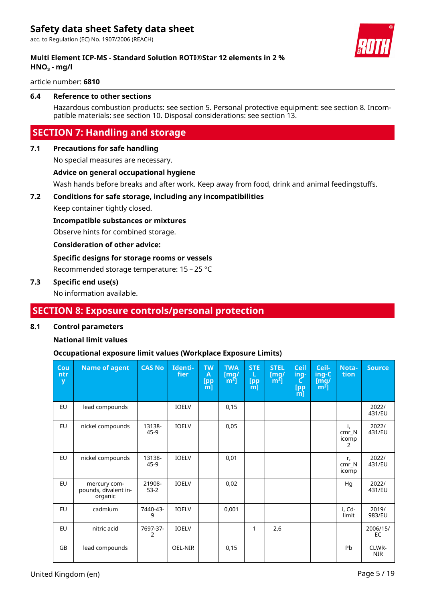acc. to Regulation (EC) No. 1907/2006 (REACH)



### **Multi Element ICP-MS - Standard Solution ROTI®Star 12 elements in 2 % HNO₃ - mg/l**

article number: **6810**

#### **6.4 Reference to other sections**

Hazardous combustion products: see section 5. Personal protective equipment: see section 8. Incompatible materials: see section 10. Disposal considerations: see section 13.

# **SECTION 7: Handling and storage**

#### **7.1 Precautions for safe handling**

No special measures are necessary.

#### **Advice on general occupational hygiene**

Wash hands before breaks and after work. Keep away from food, drink and animal feedingstuffs.

#### **7.2 Conditions for safe storage, including any incompatibilities**

Keep container tightly closed.

#### **Incompatible substances or mixtures**

Observe hints for combined storage.

#### **Consideration of other advice:**

#### **Specific designs for storage rooms or vessels**

Recommended storage temperature: 15 – 25 °C

#### **7.3 Specific end use(s)**

No information available.

# **SECTION 8: Exposure controls/personal protection**

#### **8.1 Control parameters**

#### **National limit values**

#### **Occupational exposure limit values (Workplace Exposure Limits)**

| Cou<br>ntr<br>y | <b>Name of agent</b>                            | <b>CAS No</b>    | Identi-<br>fier | <b>TW</b><br>A<br>$\begin{array}{c} \text{[pp} \\ \text{[m]} \end{array}$ | <b>TWA</b><br>$\mathsf{[mq]}$<br>$\lceil m^3 \rceil$ | <b>STE</b><br>L<br>[pp<br>$\overline{m}$ | <b>STEL</b><br>$\mathsf{[mq]}$<br>$m3$ ] | <b>Ceil</b><br>ing-<br>C<br>[pp<br>[m] | Ceil-<br>ing-C<br>Img/<br>$\mathbf{m}^{\mathbf{3}}$ ] | Nota-<br>tion             | <b>Source</b>       |
|-----------------|-------------------------------------------------|------------------|-----------------|---------------------------------------------------------------------------|------------------------------------------------------|------------------------------------------|------------------------------------------|----------------------------------------|-------------------------------------------------------|---------------------------|---------------------|
| <b>EU</b>       | lead compounds                                  |                  | <b>IOELV</b>    |                                                                           | 0,15                                                 |                                          |                                          |                                        |                                                       |                           | 2022/<br>431/EU     |
| EU              | nickel compounds                                | 13138-<br>45-9   | <b>IOELV</b>    |                                                                           | 0,05                                                 |                                          |                                          |                                        |                                                       | i,<br>cmr N<br>icomp<br>2 | 2022/<br>431/EU     |
| <b>EU</b>       | nickel compounds                                | 13138-<br>45-9   | <b>IOELV</b>    |                                                                           | 0,01                                                 |                                          |                                          |                                        |                                                       | r,<br>$cmr_N$<br>icomp    | 2022/<br>431/EU     |
| <b>EU</b>       | mercury com-<br>pounds, divalent in-<br>organic | 21908-<br>$53-2$ | <b>IOELV</b>    |                                                                           | 0,02                                                 |                                          |                                          |                                        |                                                       | Hg                        | 2022/<br>431/EU     |
| <b>EU</b>       | cadmium                                         | 7440-43-<br>9    | <b>IOELV</b>    |                                                                           | 0,001                                                |                                          |                                          |                                        |                                                       | i, Cd-<br>limit           | 2019/<br>983/EU     |
| <b>EU</b>       | nitric acid                                     | 7697-37-<br>2    | <b>IOELV</b>    |                                                                           |                                                      | 1                                        | 2,6                                      |                                        |                                                       |                           | 2006/15/<br>EC.     |
| <b>GB</b>       | lead compounds                                  |                  | OEL-NIR         |                                                                           | 0,15                                                 |                                          |                                          |                                        |                                                       | Pb                        | CLWR-<br><b>NIR</b> |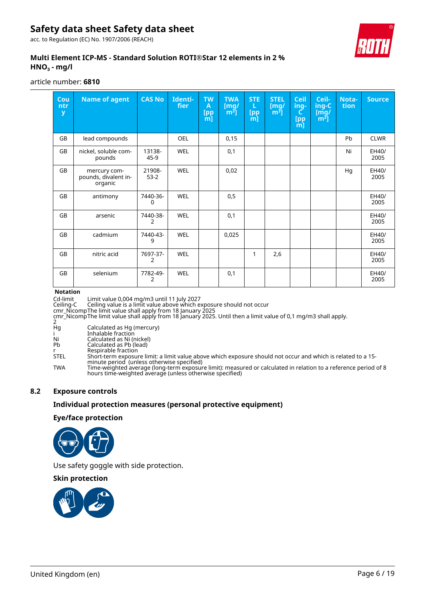acc. to Regulation (EC) No. 1907/2006 (REACH)



### **Multi Element ICP-MS - Standard Solution ROTI®Star 12 elements in 2 % HNO₃ - mg/l**

#### article number: **6810**

| Cou<br>ntr<br>y | <b>Name of agent</b>                            | <b>CAS No</b>              | Identi-<br>fier | <b>TW</b><br>A<br>[pp<br>m] | <b>TWA</b><br>[mg]<br>[m <sup>3</sup> ] | <b>STE</b><br>L<br>[pp] | <b>STEL</b><br>[mg]<br>$\overline{m^3}$ ] | <b>Ceil</b><br>ing-<br>C.<br>$\begin{array}{c} \text{[pp} \\ \text{m]} \end{array}$ | Ceil-<br>ing-C<br>Img/<br>$\lceil m^3 \rceil$ | Nota-<br>tion | <b>Source</b> |
|-----------------|-------------------------------------------------|----------------------------|-----------------|-----------------------------|-----------------------------------------|-------------------------|-------------------------------------------|-------------------------------------------------------------------------------------|-----------------------------------------------|---------------|---------------|
| <b>GB</b>       | lead compounds                                  |                            | <b>OEL</b>      |                             | 0,15                                    |                         |                                           |                                                                                     |                                               | Pb            | <b>CLWR</b>   |
| <b>GB</b>       | nickel, soluble com-<br>pounds                  | 13138-<br>45-9             | <b>WEL</b>      |                             | 0,1                                     |                         |                                           |                                                                                     |                                               | Ni            | EH40/<br>2005 |
| <b>GB</b>       | mercury com-<br>pounds, divalent in-<br>organic | 21908-<br>$53-2$           | <b>WEL</b>      |                             | 0,02                                    |                         |                                           |                                                                                     |                                               | Hq            | EH40/<br>2005 |
| <b>GB</b>       | antimony                                        | 7440-36-<br>0              | <b>WEL</b>      |                             | 0,5                                     |                         |                                           |                                                                                     |                                               |               | EH40/<br>2005 |
| <b>GB</b>       | arsenic                                         | 7440-38-<br>2              | <b>WEL</b>      |                             | 0,1                                     |                         |                                           |                                                                                     |                                               |               | EH40/<br>2005 |
| <b>GB</b>       | cadmium                                         | 7440-43-<br>9              | <b>WEL</b>      |                             | 0,025                                   |                         |                                           |                                                                                     |                                               |               | EH40/<br>2005 |
| <b>GB</b>       | nitric acid                                     | 7697-37-<br>$\overline{2}$ | <b>WEL</b>      |                             |                                         | 1                       | 2,6                                       |                                                                                     |                                               |               | EH40/<br>2005 |
| GB              | selenium                                        | 7782-49-<br>2              | <b>WEL</b>      |                             | 0,1                                     |                         |                                           |                                                                                     |                                               |               | EH40/<br>2005 |

#### **Notation**

Cd-limit Limit value 0,004 mg/m3 until 11 July 2027

Ceiling-C Ceiling value is a limit value above which exposure should not occur

cmr\_NicompThe limit value shall apply from 18 January 2025 cmr\_Nicomp The limit value shall apply from 18 January 2025. Until then a limit value of 0,1 mg/m3 shall apply.

|    | .                          |  |
|----|----------------------------|--|
|    |                            |  |
| Нg | Calculated as Hg (mercury) |  |
|    | Inhalable fraction         |  |

i Inhalable fraction

Ni Calculated as Ni (nickel)

Pb Calculated as Pb (lead)

Ni<br>
Ni Calculated as Ni (ni<br>
Pb Calculated as Pb (le<br>
r Respirable fraction<br>
STEL Short-term exposur

STEL Short-term exposure limit: a limit value above which exposure should not occur and which is related to a 15 minute period (unless otherwise specified)

TWA Time-weighted average (long-term exposure limit): measured or calculated in relation to a reference period of 8 hours time-weighted average (unless otherwise specified)

#### **8.2 Exposure controls**

#### **Individual protection measures (personal protective equipment)**

#### **Eye/face protection**



Use safety goggle with side protection.

#### **Skin protection**

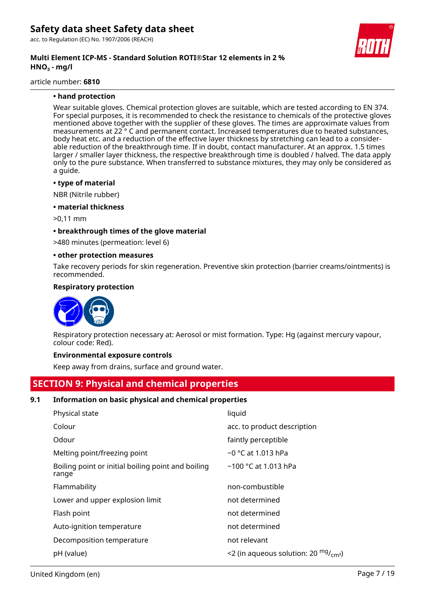acc. to Regulation (EC) No. 1907/2006 (REACH)

#### **Multi Element ICP-MS - Standard Solution ROTI®Star 12 elements in 2 % HNO₃ - mg/l**

article number: **6810**

#### **• hand protection**

Wear suitable gloves. Chemical protection gloves are suitable, which are tested according to EN 374. For special purposes, it is recommended to check the resistance to chemicals of the protective gloves mentioned above together with the supplier of these gloves. The times are approximate values from measurements at 22 ° C and permanent contact. Increased temperatures due to heated substances, body heat etc. and a reduction of the effective layer thickness by stretching can lead to a considerable reduction of the breakthrough time. If in doubt, contact manufacturer. At an approx. 1.5 times larger / smaller layer thickness, the respective breakthrough time is doubled / halved. The data apply only to the pure substance. When transferred to substance mixtures, they may only be considered as a guide.

#### **• type of material**

NBR (Nitrile rubber)

**• material thickness**

>0,11 mm

#### **• breakthrough times of the glove material**

>480 minutes (permeation: level 6)

#### **• other protection measures**

Take recovery periods for skin regeneration. Preventive skin protection (barrier creams/ointments) is recommended.

#### **Respiratory protection**



Respiratory protection necessary at: Aerosol or mist formation. Type: Hg (against mercury vapour, colour code: Red).

#### **Environmental exposure controls**

Keep away from drains, surface and ground water.

# **SECTION 9: Physical and chemical properties**

#### **9.1 Information on basic physical and chemical properties**

| Physical state                                              | liquid                                              |
|-------------------------------------------------------------|-----------------------------------------------------|
| Colour                                                      | acc. to product description                         |
| Odour                                                       | faintly perceptible                                 |
| Melting point/freezing point                                | $\sim$ 0 °C at 1.013 hPa                            |
| Boiling point or initial boiling point and boiling<br>range | $~100$ °C at 1.013 hPa                              |
| Flammability                                                | non-combustible                                     |
| Lower and upper explosion limit                             | not determined                                      |
| Flash point                                                 | not determined                                      |
| Auto-ignition temperature                                   | not determined                                      |
| Decomposition temperature                                   | not relevant                                        |
| pH (value)                                                  | <2 (in aqueous solution: 20 $mg$ / <sub>cm</sub> 3) |

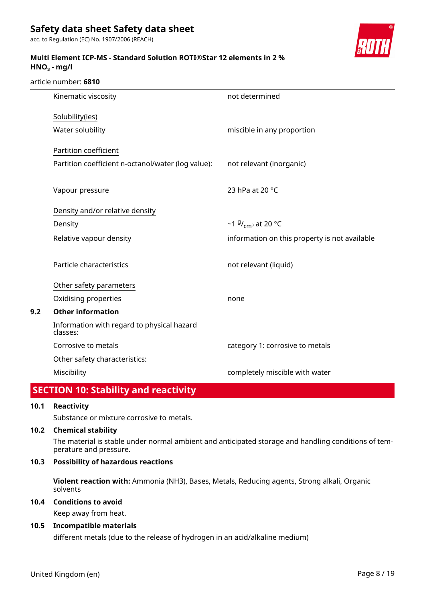acc. to Regulation (EC) No. 1907/2006 (REACH)

### **Multi Element ICP-MS - Standard Solution ROTI®Star 12 elements in 2 % HNO₃ - mg/l**



#### article number: **6810**

| Kinematic viscosity                                    | not determined                                |
|--------------------------------------------------------|-----------------------------------------------|
| Solubility(ies)                                        |                                               |
| Water solubility                                       | miscible in any proportion                    |
| Partition coefficient                                  |                                               |
| Partition coefficient n-octanol/water (log value):     | not relevant (inorganic)                      |
|                                                        |                                               |
| Vapour pressure                                        | 23 hPa at 20 °C                               |
| Density and/or relative density                        |                                               |
| Density                                                | ~1 $9/$ <sub>cm</sub> at 20 °C                |
| Relative vapour density                                | information on this property is not available |
| Particle characteristics                               | not relevant (liquid)                         |
| Other safety parameters                                |                                               |
| Oxidising properties                                   | none                                          |
| <b>Other information</b>                               |                                               |
| Information with regard to physical hazard<br>classes: |                                               |
| Corrosive to metals                                    | category 1: corrosive to metals               |
| Other safety characteristics:                          |                                               |
| Miscibility                                            | completely miscible with water                |

# **SECTION 10: Stability and reactivity**

### **10.1 Reactivity**

**9.2 Other information**

Substance or mixture corrosive to metals.

#### **10.2 Chemical stability**

The material is stable under normal ambient and anticipated storage and handling conditions of temperature and pressure.

### **10.3 Possibility of hazardous reactions**

**Violent reaction with:** Ammonia (NH3), Bases, Metals, Reducing agents, Strong alkali, Organic solvents

### **10.4 Conditions to avoid**

Keep away from heat.

#### **10.5 Incompatible materials**

different metals (due to the release of hydrogen in an acid/alkaline medium)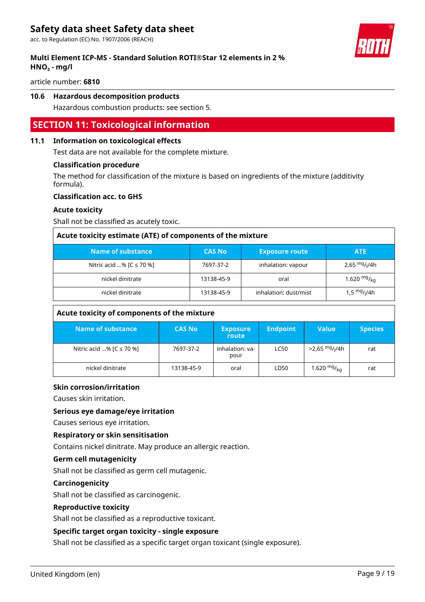acc. to Regulation (EC) No. 1907/2006 (REACH)

### **Multi Element ICP-MS - Standard Solution ROTI®Star 12 elements in 2 % HNO₃ - mg/l**



article number: **6810**

#### **10.6 Hazardous decomposition products**

Hazardous combustion products: see section 5.

### **SECTION 11: Toxicological information**

#### **11.1 Information on toxicological effects**

Test data are not available for the complete mixture.

#### **Classification procedure**

The method for classification of the mixture is based on ingredients of the mixture (additivity formula).

#### **Classification acc. to GHS**

#### **Acute toxicity**

Shall not be classified as acutely toxic.

| Acute toxicity estimate (ATE) of components of the mixture |               |                       |                              |  |  |
|------------------------------------------------------------|---------------|-----------------------|------------------------------|--|--|
| Name of substance                                          | <b>CAS No</b> | <b>Exposure route</b> | <b>ATE</b>                   |  |  |
| Nitric acid % $[C \le 70$ %]                               | 7697-37-2     | inhalation: vapour    | 2.65 $mg$ / <sub>I</sub> /4h |  |  |
| nickel dinitrate                                           | 13138-45-9    | oral                  | 1.620 $mg/_{kq}$             |  |  |
| nickel dinitrate                                           | 13138-45-9    | inhalation: dust/mist | 1,5 $mg/1/4h$                |  |  |

| Acute toxicity of components of the mixture |               |                          |                 |                                        |                |  |  |
|---------------------------------------------|---------------|--------------------------|-----------------|----------------------------------------|----------------|--|--|
| Name of substance                           | <b>CAS No</b> | <b>Exposure</b><br>route | <b>Endpoint</b> | <b>Value</b>                           | <b>Species</b> |  |  |
| Nitric acid % $[C \le 70$ %]                | 7697-37-2     | inhalation: ya-<br>pour  | <b>LC50</b>     | >2,65 <sup>mg</sup> / <sub>l</sub> /4h | rat            |  |  |
| nickel dinitrate                            | 13138-45-9    | oral                     | LD50            | 1.620 $mg/k_{\alpha}$                  | rat            |  |  |

#### **Skin corrosion/irritation**

Causes skin irritation.

#### **Serious eye damage/eye irritation**

Causes serious eye irritation.

#### **Respiratory or skin sensitisation**

Contains nickel dinitrate. May produce an allergic reaction.

#### **Germ cell mutagenicity**

Shall not be classified as germ cell mutagenic.

#### **Carcinogenicity**

Shall not be classified as carcinogenic.

#### **Reproductive toxicity**

Shall not be classified as a reproductive toxicant.

#### **Specific target organ toxicity - single exposure**

Shall not be classified as a specific target organ toxicant (single exposure).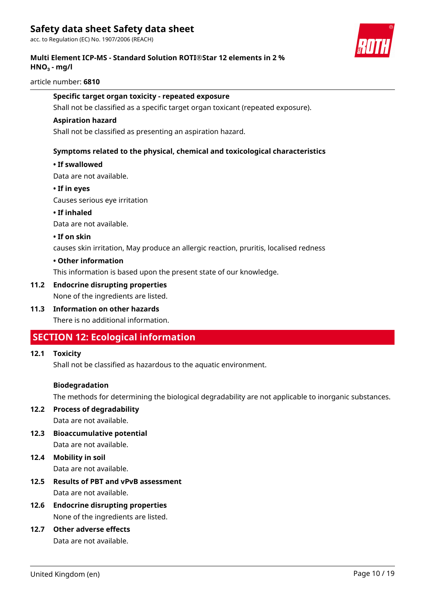acc. to Regulation (EC) No. 1907/2006 (REACH)

### **Multi Element ICP-MS - Standard Solution ROTI®Star 12 elements in 2 % HNO₃ - mg/l**

#### article number: **6810**

#### **Specific target organ toxicity - repeated exposure**

Shall not be classified as a specific target organ toxicant (repeated exposure).

#### **Aspiration hazard**

Shall not be classified as presenting an aspiration hazard.

#### **Symptoms related to the physical, chemical and toxicological characteristics**

#### **• If swallowed**

Data are not available.

#### **• If in eyes**

Causes serious eye irritation

#### **• If inhaled**

Data are not available.

#### **• If on skin**

causes skin irritation, May produce an allergic reaction, pruritis, localised redness

#### **• Other information**

This information is based upon the present state of our knowledge.

#### **11.2 Endocrine disrupting properties**

None of the ingredients are listed.

### **11.3 Information on other hazards**

There is no additional information.

# **SECTION 12: Ecological information**

#### **12.1 Toxicity**

Shall not be classified as hazardous to the aquatic environment.

#### **Biodegradation**

The methods for determining the biological degradability are not applicable to inorganic substances.

### **12.2 Process of degradability**

Data are not available.

**12.3 Bioaccumulative potential**

Data are not available.

- **12.4 Mobility in soil** Data are not available.
- **12.5 Results of PBT and vPvB assessment** Data are not available.

### **12.6 Endocrine disrupting properties** None of the ingredients are listed.

**12.7 Other adverse effects**

Data are not available.

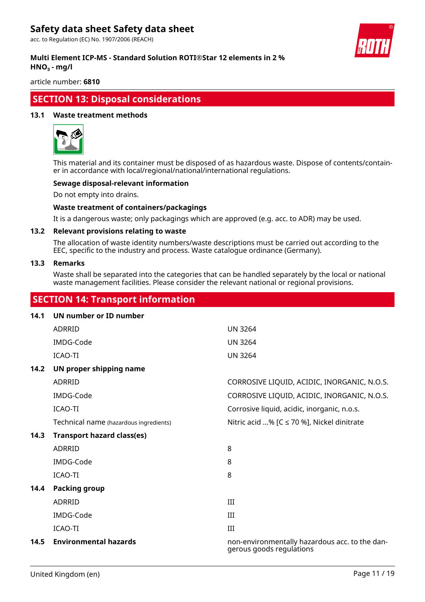acc. to Regulation (EC) No. 1907/2006 (REACH)



#### **Multi Element ICP-MS - Standard Solution ROTI®Star 12 elements in 2 % HNO₃ - mg/l**

article number: **6810**

# **SECTION 13: Disposal considerations**

#### **13.1 Waste treatment methods**



This material and its container must be disposed of as hazardous waste. Dispose of contents/container in accordance with local/regional/national/international regulations.

#### **Sewage disposal-relevant information**

Do not empty into drains.

#### **Waste treatment of containers/packagings**

It is a dangerous waste; only packagings which are approved (e.g. acc. to ADR) may be used.

#### **13.2 Relevant provisions relating to waste**

The allocation of waste identity numbers/waste descriptions must be carried out according to the EEC, specific to the industry and process. Waste catalogue ordinance (Germany).

#### **13.3 Remarks**

Waste shall be separated into the categories that can be handled separately by the local or national waste management facilities. Please consider the relevant national or regional provisions.

# **SECTION 14: Transport information**

# **14.1 UN number or ID number**

|      | ADRRID                                 | <b>UN 3264</b>                                                             |
|------|----------------------------------------|----------------------------------------------------------------------------|
|      | IMDG-Code                              | <b>UN 3264</b>                                                             |
|      | ICAO-TI                                | <b>UN 3264</b>                                                             |
| 14.2 | UN proper shipping name                |                                                                            |
|      | ADRRID                                 | CORROSIVE LIQUID, ACIDIC, INORGANIC, N.O.S.                                |
|      | IMDG-Code                              | CORROSIVE LIQUID, ACIDIC, INORGANIC, N.O.S.                                |
|      | ICAO-TI                                | Corrosive liquid, acidic, inorganic, n.o.s.                                |
|      | Technical name (hazardous ingredients) | Nitric acid % [C ≤ 70 %], Nickel dinitrate                                 |
| 14.3 | <b>Transport hazard class(es)</b>      |                                                                            |
|      | ADRRID                                 | 8                                                                          |
|      | IMDG-Code                              | 8                                                                          |
|      | ICAO-TI                                | 8                                                                          |
| 14.4 | <b>Packing group</b>                   |                                                                            |
|      | ADRRID                                 | III                                                                        |
|      | IMDG-Code                              | Ш                                                                          |
|      | ICAO-TI                                | III                                                                        |
| 14.5 | <b>Environmental hazards</b>           | non-environmentally hazardous acc. to the dan-<br>gerous goods regulations |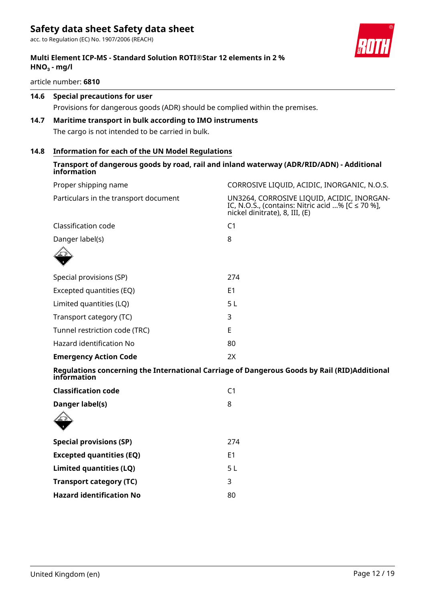acc. to Regulation (EC) No. 1907/2006 (REACH)

### **Multi Element ICP-MS - Standard Solution ROTI®Star 12 elements in 2 % HNO₃ - mg/l**

article number: **6810**

### **14.6 Special precautions for user**

Provisions for dangerous goods (ADR) should be complied within the premises.

# **14.7 Maritime transport in bulk according to IMO instruments**

The cargo is not intended to be carried in bulk.

### **14.8 Information for each of the UN Model Regulations**

| information                                                                                                 |                                                                                                                                       |
|-------------------------------------------------------------------------------------------------------------|---------------------------------------------------------------------------------------------------------------------------------------|
| Proper shipping name                                                                                        | CORROSIVE LIQUID, ACIDIC, INORGANIC, N.O.S.                                                                                           |
| Particulars in the transport document                                                                       | UN3264, CORROSIVE LIQUID, ACIDIC, INORGAN-<br>IC, N.O.S., (contains: Nitric acid % $[C \le 70\%]$ ,<br>nickel dinitrate), 8, III, (E) |
| Classification code                                                                                         | C <sub>1</sub>                                                                                                                        |
| Danger label(s)                                                                                             | 8                                                                                                                                     |
|                                                                                                             |                                                                                                                                       |
| Special provisions (SP)                                                                                     | 274                                                                                                                                   |
| Excepted quantities (EQ)                                                                                    | E <sub>1</sub>                                                                                                                        |
| Limited quantities (LQ)                                                                                     | 5L                                                                                                                                    |
| Transport category (TC)                                                                                     | 3                                                                                                                                     |
| Tunnel restriction code (TRC)                                                                               | E                                                                                                                                     |
| Hazard identification No                                                                                    | 80                                                                                                                                    |
| <b>Emergency Action Code</b>                                                                                | 2X                                                                                                                                    |
| Regulations concerning the International Carriage of Dangerous Goods by Rail (RID)Additional<br>information |                                                                                                                                       |
| <b>Classification code</b>                                                                                  | C <sub>1</sub>                                                                                                                        |
| Danger label(s)                                                                                             | 8                                                                                                                                     |
|                                                                                                             |                                                                                                                                       |
| <b>Special provisions (SP)</b>                                                                              | 274                                                                                                                                   |
| <b>Excepted quantities (EQ)</b>                                                                             | E <sub>1</sub>                                                                                                                        |
| Limited quantities (LQ)                                                                                     | 5L                                                                                                                                    |
| <b>Transport category (TC)</b>                                                                              | 3                                                                                                                                     |
| <b>Hazard identification No</b>                                                                             | 80                                                                                                                                    |
|                                                                                                             |                                                                                                                                       |

**Transport of dangerous goods by road, rail and inland waterway (ADR/RID/ADN) - Additional**

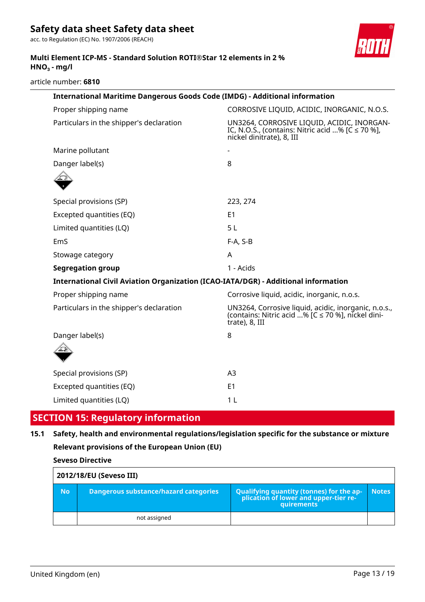acc. to Regulation (EC) No. 1907/2006 (REACH)



### **Multi Element ICP-MS - Standard Solution ROTI®Star 12 elements in 2 % HNO₃ - mg/l**

article number: **6810**

| International Maritime Dangerous Goods Code (IMDG) - Additional information        |                                                                                                                                  |  |  |  |  |
|------------------------------------------------------------------------------------|----------------------------------------------------------------------------------------------------------------------------------|--|--|--|--|
| Proper shipping name                                                               | CORROSIVE LIQUID, ACIDIC, INORGANIC, N.O.S.                                                                                      |  |  |  |  |
| Particulars in the shipper's declaration                                           | UN3264, CORROSIVE LIQUID, ACIDIC, INORGAN-<br>IC, N.O.S., (contains: Nitric acid % [C $\leq$ 70 %],<br>nickel dinitrate), 8, III |  |  |  |  |
| Marine pollutant                                                                   |                                                                                                                                  |  |  |  |  |
| Danger label(s)                                                                    | 8                                                                                                                                |  |  |  |  |
|                                                                                    |                                                                                                                                  |  |  |  |  |
| Special provisions (SP)                                                            | 223, 274                                                                                                                         |  |  |  |  |
| Excepted quantities (EQ)                                                           | E <sub>1</sub>                                                                                                                   |  |  |  |  |
| Limited quantities (LQ)                                                            | 5L                                                                                                                               |  |  |  |  |
| EmS                                                                                | F-A, S-B                                                                                                                         |  |  |  |  |
| Stowage category                                                                   | A                                                                                                                                |  |  |  |  |
| <b>Segregation group</b>                                                           | 1 - Acids                                                                                                                        |  |  |  |  |
| International Civil Aviation Organization (ICAO-IATA/DGR) - Additional information |                                                                                                                                  |  |  |  |  |
| Proper shipping name                                                               | Corrosive liquid, acidic, inorganic, n.o.s.                                                                                      |  |  |  |  |
| Particulars in the shipper's declaration                                           | UN3264, Corrosive liquid, acidic, inorganic, n.o.s.,<br>(contains: Nitric acid % [C ≤ 70 %], nickel dini-<br>trate), 8, III      |  |  |  |  |
| Danger label(s)                                                                    | 8                                                                                                                                |  |  |  |  |
|                                                                                    |                                                                                                                                  |  |  |  |  |
| Special provisions (SP)                                                            | A <sub>3</sub>                                                                                                                   |  |  |  |  |
| Excepted quantities (EQ)                                                           | E <sub>1</sub>                                                                                                                   |  |  |  |  |
| Limited quantities (LQ)                                                            | 1 <sub>L</sub>                                                                                                                   |  |  |  |  |

# **SECTION 15: Regulatory information**

# **15.1 Safety, health and environmental regulations/legislation specific for the substance or mixture Relevant provisions of the European Union (EU)**

**Seveso Directive**

| 2012/18/EU (Seveso III) |                                              |                                                                                            |              |  |  |  |
|-------------------------|----------------------------------------------|--------------------------------------------------------------------------------------------|--------------|--|--|--|
| <b>No</b>               | <b>Dangerous substance/hazard categories</b> | Qualifying quantity (tonnes) for the application of lower and upper-tier re-<br>quirements | <b>Notes</b> |  |  |  |
|                         | not assigned                                 |                                                                                            |              |  |  |  |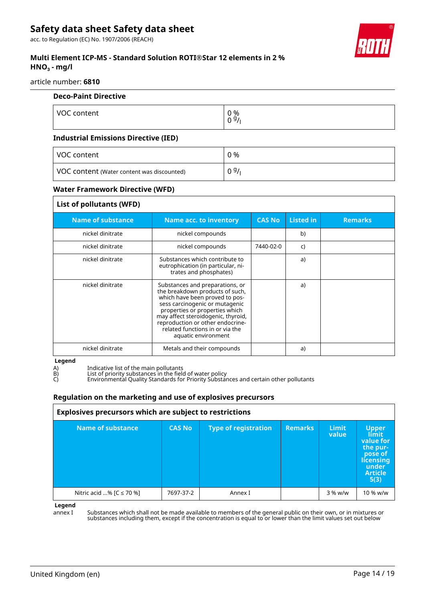acc. to Regulation (EC) No. 1907/2006 (REACH)

### **Multi Element ICP-MS - Standard Solution ROTI®Star 12 elements in 2 % HNO₃ - mg/l**

article number: **6810**

| <b>Deco-Paint Directive</b>                 |                       |
|---------------------------------------------|-----------------------|
| VOC content                                 | 0 %<br>0 <sup>9</sup> |
| <b>Industrial Emissions Directive (IED)</b> |                       |

#### **Industrial Emissions Directive (IED)**

| VOC content                                | 0 %  |
|--------------------------------------------|------|
| VOC content (Water content was discounted) | 09/1 |

#### **Water Framework Directive (WFD)**

| List of pollutants (WFD) |                                                                                                                                                                                                                                                                                                              |               |                  |                |
|--------------------------|--------------------------------------------------------------------------------------------------------------------------------------------------------------------------------------------------------------------------------------------------------------------------------------------------------------|---------------|------------------|----------------|
| <b>Name of substance</b> | <b>Name acc. to inventory</b>                                                                                                                                                                                                                                                                                | <b>CAS No</b> | <b>Listed</b> in | <b>Remarks</b> |
| nickel dinitrate         | nickel compounds                                                                                                                                                                                                                                                                                             |               | b)               |                |
| nickel dinitrate         | nickel compounds                                                                                                                                                                                                                                                                                             | 7440-02-0     | C)               |                |
| nickel dinitrate         | Substances which contribute to<br>eutrophication (in particular, ni-<br>trates and phosphates)                                                                                                                                                                                                               |               | a)               |                |
| nickel dinitrate         | Substances and preparations, or<br>the breakdown products of such,<br>which have been proved to pos-<br>sess carcinogenic or mutagenic<br>properties or properties which<br>may affect steroidogenic, thyroid,<br>reproduction or other endocrine-<br>related functions in or via the<br>aquatic environment |               | a)               |                |
| nickel dinitrate         | Metals and their compounds                                                                                                                                                                                                                                                                                   |               | a)               |                |

**Legend**

A) Indicative list of the main pollutants

B) List of priority substances in the field of water policy

C) Environmental Quality Standards for Priority Substances and certain other pollutants

#### **Regulation on the marketing and use of explosives precursors**

| Explosives precursors which are subject to restrictions |               |                             |                |                       |                                                                                                           |
|---------------------------------------------------------|---------------|-----------------------------|----------------|-----------------------|-----------------------------------------------------------------------------------------------------------|
| Name of substance                                       | <b>CAS No</b> | <b>Type of registration</b> | <b>Remarks</b> | <b>Limit</b><br>value | <b>Upper</b><br>limit<br>value for<br>the pur-<br>pose of<br>licensing<br>under<br><b>Article</b><br>5(3) |
| Nitric acid % [ $C \le 70$ %]                           | 7697-37-2     | Annex I                     |                | $3\%$ w/w             | 10 % w/w                                                                                                  |

**Legend**

annex I Substances which shall not be made available to members of the general public on their own, or in mixtures or substances including them, except if the concentration is equal to or lower than the limit values set out below

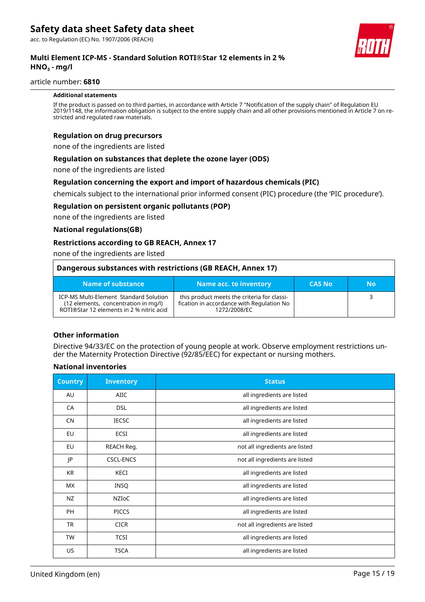acc. to Regulation (EC) No. 1907/2006 (REACH)



### **Multi Element ICP-MS - Standard Solution ROTI®Star 12 elements in 2 % HNO₃ - mg/l**

#### article number: **6810**

#### **Additional statements**

If the product is passed on to third parties, in accordance with Article 7 "Notification of the supply chain" of Regulation EU 2019/1148, the information obligation is subject to the entire supply chain and all other provisions mentioned in Article 7 on restricted and regulated raw materials.

#### **Regulation on drug precursors**

none of the ingredients are listed

#### **Regulation on substances that deplete the ozone layer (ODS)**

none of the ingredients are listed

#### **Regulation concerning the export and import of hazardous chemicals (PIC)**

chemicals subject to the international prior informed consent (PIC) procedure (the 'PIC procedure').

#### **Regulation on persistent organic pollutants (POP)**

none of the ingredients are listed

#### **National regulations(GB)**

#### **Restrictions according to GB REACH, Annex 17**

none of the ingredients are listed

| Dangerous substances with restrictions (GB REACH, Annex 17)                                                                       |                                                                                                          |               |    |  |  |  |
|-----------------------------------------------------------------------------------------------------------------------------------|----------------------------------------------------------------------------------------------------------|---------------|----|--|--|--|
| Name of substance                                                                                                                 | Name acc. to inventory                                                                                   | <b>CAS No</b> | No |  |  |  |
| <b>ICP-MS Multi-Element Standard Solution</b><br>(12 elements, concentration in mg/l)<br>ROTI®Star 12 elements in 2 % nitric acid | this product meets the criteria for classi-<br>fication in accordance with Regulation No<br>1272/2008/FC |               |    |  |  |  |

#### **Other information**

Directive 94/33/EC on the protection of young people at work. Observe employment restrictions under the Maternity Protection Directive (92/85/EEC) for expectant or nursing mothers.

#### **National inventories**

| <b>Country</b> | <b>Inventory</b> | <b>Status</b>                  |
|----------------|------------------|--------------------------------|
| AU             | AIIC             | all ingredients are listed     |
| CA             | <b>DSL</b>       | all ingredients are listed     |
| <b>CN</b>      | <b>IECSC</b>     | all ingredients are listed     |
| EU             | ECSI             | all ingredients are listed     |
| <b>EU</b>      | REACH Reg.       | not all ingredients are listed |
| JP             | <b>CSCL-ENCS</b> | not all ingredients are listed |
| KR             | KECI             | all ingredients are listed     |
| МX             | <b>INSQ</b>      | all ingredients are listed     |
| NZ             | NZIOC            | all ingredients are listed     |
| <b>PH</b>      | <b>PICCS</b>     | all ingredients are listed     |
| TR             | <b>CICR</b>      | not all ingredients are listed |
| <b>TW</b>      | <b>TCSI</b>      | all ingredients are listed     |
| US.            | <b>TSCA</b>      | all ingredients are listed     |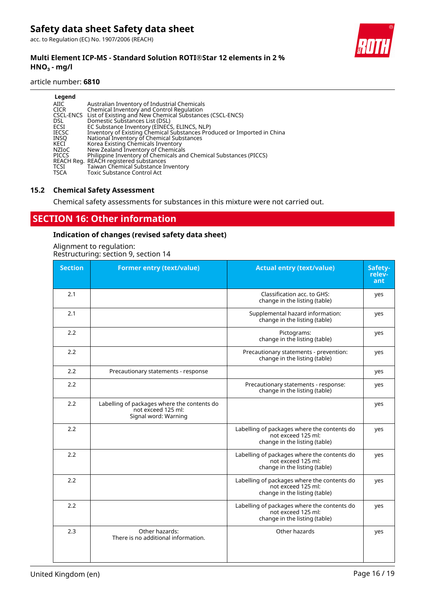acc. to Regulation (EC) No. 1907/2006 (REACH)

### **Multi Element ICP-MS - Standard Solution ROTI®Star 12 elements in 2 % HNO₃ - mg/l**

#### article number: **6810**

| Legend<br>AIIC<br><b>CICR</b><br><b>DSL</b><br>ECSI<br><b>IECSC</b><br><b>INSO</b><br>KECI<br>NZIoC<br><b>PICCS</b><br>TCSI<br><b>TSCA</b> | Australian Inventory of Industrial Chemicals<br>Chemical Inventory and Control Regulation<br>CSCL-ENCS List of Existing and New Chemical Substances (CSCL-ENCS)<br>Domestic Substances List (DSL)<br>EC Substance Inventory (EINECS, ELINCS, NLP)<br>Inventory of Existing Chemical Substances Produced or Imported in China<br>National Inventory of Chemical Substances<br>Korea Existing Chemicals Inventory<br>New Zealand Inventory of Chemicals<br>Philippine Inventory of Chemicals and Chemical Substances (PICCS)<br>REACH Reg. REACH registered substances<br>Taiwan Chemical Substance Inventory<br><b>Toxic Substance Control Act</b> |
|--------------------------------------------------------------------------------------------------------------------------------------------|---------------------------------------------------------------------------------------------------------------------------------------------------------------------------------------------------------------------------------------------------------------------------------------------------------------------------------------------------------------------------------------------------------------------------------------------------------------------------------------------------------------------------------------------------------------------------------------------------------------------------------------------------|
|--------------------------------------------------------------------------------------------------------------------------------------------|---------------------------------------------------------------------------------------------------------------------------------------------------------------------------------------------------------------------------------------------------------------------------------------------------------------------------------------------------------------------------------------------------------------------------------------------------------------------------------------------------------------------------------------------------------------------------------------------------------------------------------------------------|

#### **15.2 Chemical Safety Assessment**

Chemical safety assessments for substances in this mixture were not carried out.

# **SECTION 16: Other information**

### **Indication of changes (revised safety data sheet)**

Alignment to regulation: Restructuring: section 9, section 14

| <b>Section</b> | <b>Former entry (text/value)</b>                                                          | <b>Actual entry (text/value)</b>                                                                   | Safety-<br>relev-<br>ant |
|----------------|-------------------------------------------------------------------------------------------|----------------------------------------------------------------------------------------------------|--------------------------|
| 2.1            |                                                                                           | Classification acc. to GHS:<br>change in the listing (table)                                       | yes                      |
| 2.1            |                                                                                           | Supplemental hazard information:<br>change in the listing (table)                                  | yes                      |
| 2.2            |                                                                                           | Pictograms:<br>change in the listing (table)                                                       | yes                      |
| 2.2            |                                                                                           | Precautionary statements - prevention:<br>change in the listing (table)                            | yes                      |
| 2.2            | Precautionary statements - response                                                       |                                                                                                    | yes                      |
| 2.2            |                                                                                           | Precautionary statements - response:<br>change in the listing (table)                              | yes                      |
| 2.2            | Labelling of packages where the contents do<br>not exceed 125 ml:<br>Signal word: Warning |                                                                                                    | yes                      |
| 2.2            |                                                                                           | Labelling of packages where the contents do<br>not exceed 125 ml:<br>change in the listing (table) | yes                      |
| 2.2            |                                                                                           | Labelling of packages where the contents do<br>not exceed 125 ml:<br>change in the listing (table) | yes                      |
| 2.2            |                                                                                           | Labelling of packages where the contents do<br>not exceed 125 ml:<br>change in the listing (table) | yes                      |
| 2.2            |                                                                                           | Labelling of packages where the contents do<br>not exceed 125 ml:<br>change in the listing (table) | yes                      |
| 2.3            | Other hazards:<br>There is no additional information.                                     | Other hazards                                                                                      | yes                      |

United Kingdom (en) entitled Kingdom (en) and the entitled Kingdom (en) and the entitled Kingdom (en) and the e

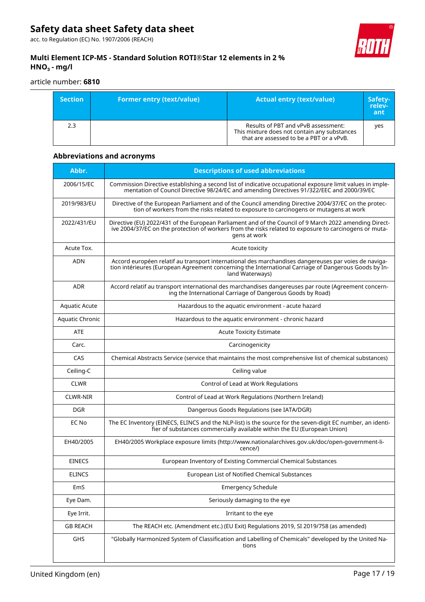acc. to Regulation (EC) No. 1907/2006 (REACH)



### **Multi Element ICP-MS - Standard Solution ROTI®Star 12 elements in 2 % HNO₃ - mg/l**

article number: **6810**

| <b>Section</b> | <b>Former entry (text/value)</b> | <b>Actual entry (text/value)</b>                                                                                                | Safety-<br>relev-<br>ant |
|----------------|----------------------------------|---------------------------------------------------------------------------------------------------------------------------------|--------------------------|
| 2.3            |                                  | Results of PBT and vPvB assessment:<br>This mixture does not contain any substances<br>that are assessed to be a PBT or a vPvB. | ves                      |

# **Abbreviations and acronyms**

| Abbr.           | <b>Descriptions of used abbreviations</b>                                                                                                                                                                                        |
|-----------------|----------------------------------------------------------------------------------------------------------------------------------------------------------------------------------------------------------------------------------|
| 2006/15/EC      | Commission Directive establishing a second list of indicative occupational exposure limit values in imple-<br>mentation of Council Directive 98/24/EC and amending Directives 91/322/EEC and 2000/39/EC                          |
| 2019/983/EU     | Directive of the European Parliament and of the Council amending Directive 2004/37/EC on the protec-<br>tion of workers from the risks related to exposure to carcinogens or mutagens at work                                    |
| 2022/431/EU     | Directive (EU) 2022/431 of the European Parliament and of the Council of 9 March 2022 amending Direct-<br>ive 2004/37/EC on the protection of workers from the risks related to exposure to carcinogens or muta-<br>gens at work |
| Acute Tox.      | Acute toxicity                                                                                                                                                                                                                   |
| <b>ADN</b>      | Accord européen relatif au transport international des marchandises dangereuses par voies de naviga-<br>tion intérieures (European Agreement concerning the International Carriage of Dangerous Goods by In-<br>land Waterways)  |
| <b>ADR</b>      | Accord relatif au transport international des marchandises dangereuses par route (Agreement concern-<br>ing the International Carriage of Dangerous Goods by Road)                                                               |
| Aquatic Acute   | Hazardous to the aquatic environment - acute hazard                                                                                                                                                                              |
| Aquatic Chronic | Hazardous to the aquatic environment - chronic hazard                                                                                                                                                                            |
| <b>ATE</b>      | <b>Acute Toxicity Estimate</b>                                                                                                                                                                                                   |
| Carc.           | Carcinogenicity                                                                                                                                                                                                                  |
| CAS             | Chemical Abstracts Service (service that maintains the most comprehensive list of chemical substances)                                                                                                                           |
| Ceiling-C       | Ceiling value                                                                                                                                                                                                                    |
| <b>CLWR</b>     | Control of Lead at Work Regulations                                                                                                                                                                                              |
| CLWR-NIR        | Control of Lead at Work Regulations (Northern Ireland)                                                                                                                                                                           |
| <b>DGR</b>      | Dangerous Goods Regulations (see IATA/DGR)                                                                                                                                                                                       |
| EC No           | The EC Inventory (EINECS, ELINCS and the NLP-list) is the source for the seven-digit EC number, an identi-<br>fier of substances commercially available within the EU (European Union)                                           |
| EH40/2005       | EH40/2005 Workplace exposure limits (http://www.nationalarchives.gov.uk/doc/open-government-li-<br>cence/)                                                                                                                       |
| <b>EINECS</b>   | European Inventory of Existing Commercial Chemical Substances                                                                                                                                                                    |
| <b>ELINCS</b>   | European List of Notified Chemical Substances                                                                                                                                                                                    |
| EmS             | <b>Emergency Schedule</b>                                                                                                                                                                                                        |
| Eye Dam.        | Seriously damaging to the eye                                                                                                                                                                                                    |
| Eye Irrit.      | Irritant to the eye                                                                                                                                                                                                              |
| <b>GB REACH</b> | The REACH etc. (Amendment etc.) (EU Exit) Regulations 2019, SI 2019/758 (as amended)                                                                                                                                             |
| GHS             | "Globally Harmonized System of Classification and Labelling of Chemicals" developed by the United Na-<br>tions                                                                                                                   |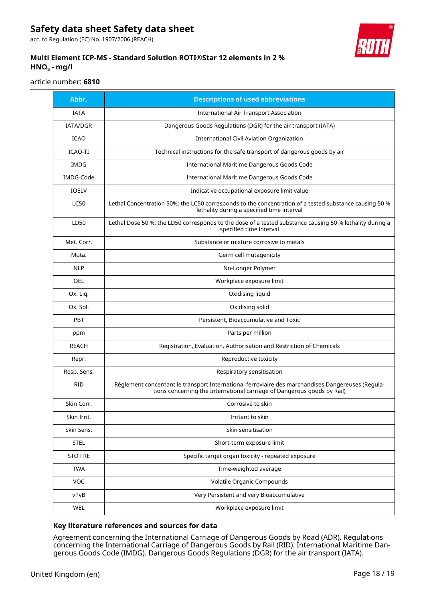acc. to Regulation (EC) No. 1907/2006 (REACH)



### **Multi Element ICP-MS - Standard Solution ROTI®Star 12 elements in 2 % HNO₃ - mg/l**

article number: **6810**

| Abbr.           | <b>Descriptions of used abbreviations</b>                                                                                                                                    |
|-----------------|------------------------------------------------------------------------------------------------------------------------------------------------------------------------------|
| <b>IATA</b>     | International Air Transport Association                                                                                                                                      |
| <b>IATA/DGR</b> | Dangerous Goods Regulations (DGR) for the air transport (IATA)                                                                                                               |
| <b>ICAO</b>     | <b>International Civil Aviation Organization</b>                                                                                                                             |
| ICAO-TI         | Technical instructions for the safe transport of dangerous goods by air                                                                                                      |
| <b>IMDG</b>     | <b>International Maritime Dangerous Goods Code</b>                                                                                                                           |
| IMDG-Code       | International Maritime Dangerous Goods Code                                                                                                                                  |
| <b>IOELV</b>    | Indicative occupational exposure limit value                                                                                                                                 |
| <b>LC50</b>     | Lethal Concentration 50%: the LC50 corresponds to the concentration of a tested substance causing 50 %<br>lethality during a specified time interval                         |
| LD50            | Lethal Dose 50 %: the LD50 corresponds to the dose of a tested substance causing 50 % lethality during a<br>specified time interval                                          |
| Met. Corr.      | Substance or mixture corrosive to metals                                                                                                                                     |
| Muta.           | Germ cell mutagenicity                                                                                                                                                       |
| <b>NLP</b>      | No-Longer Polymer                                                                                                                                                            |
| <b>OEL</b>      | Workplace exposure limit                                                                                                                                                     |
| Ox. Liq.        | Oxidising liquid                                                                                                                                                             |
| Ox. Sol.        | Oxidising solid                                                                                                                                                              |
| <b>PBT</b>      | Persistent, Bioaccumulative and Toxic                                                                                                                                        |
| ppm             | Parts per million                                                                                                                                                            |
| <b>REACH</b>    | Registration, Evaluation, Authorisation and Restriction of Chemicals                                                                                                         |
| Repr.           | Reproductive toxicity                                                                                                                                                        |
| Resp. Sens.     | Respiratory sensitisation                                                                                                                                                    |
| <b>RID</b>      | Règlement concernant le transport International ferroviaire des marchandises Dangereuses (Regula-<br>tions concerning the International carriage of Dangerous goods by Rail) |
| Skin Corr.      | Corrosive to skin                                                                                                                                                            |
| Skin Irrit.     | Irritant to skin                                                                                                                                                             |
| Skin Sens.      | Skin sensitisation                                                                                                                                                           |
| <b>STEL</b>     | Short-term exposure limit                                                                                                                                                    |
| <b>STOT RE</b>  | Specific target organ toxicity - repeated exposure                                                                                                                           |
| <b>TWA</b>      | Time-weighted average                                                                                                                                                        |
| VOC             | Volatile Organic Compounds                                                                                                                                                   |
| vPvB            | Very Persistent and very Bioaccumulative                                                                                                                                     |
| WEL             | Workplace exposure limit                                                                                                                                                     |

#### **Key literature references and sources for data**

Agreement concerning the International Carriage of Dangerous Goods by Road (ADR). Regulations concerning the International Carriage of Dangerous Goods by Rail (RID). International Maritime Dangerous Goods Code (IMDG). Dangerous Goods Regulations (DGR) for the air transport (IATA).